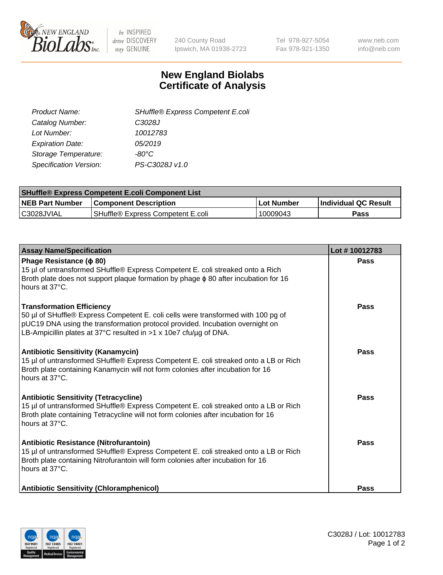

be INSPIRED drive DISCOVERY stay GENUINE

240 County Road Ipswich, MA 01938-2723 Tel 978-927-5054 Fax 978-921-1350 www.neb.com info@neb.com

## **New England Biolabs Certificate of Analysis**

| SHuffle® Express Competent E.coli |
|-----------------------------------|
| C3028J                            |
| 10012783                          |
| 05/2019                           |
| -80°C                             |
| PS-C3028J v1.0                    |
|                                   |

| <b>SHuffle® Express Competent E.coli Component List</b> |                                   |            |                             |  |
|---------------------------------------------------------|-----------------------------------|------------|-----------------------------|--|
| <b>NEB Part Number</b>                                  | <b>Component Description</b>      | Lot Number | <b>Individual QC Result</b> |  |
| C3028JVIAL                                              | SHuffle® Express Competent E.coli | 10009043   | Pass                        |  |

| <b>Assay Name/Specification</b>                                                                                                                                                                                                                                             | Lot #10012783 |
|-----------------------------------------------------------------------------------------------------------------------------------------------------------------------------------------------------------------------------------------------------------------------------|---------------|
| Phage Resistance ( $\phi$ 80)<br>15 µl of untransformed SHuffle® Express Competent E. coli streaked onto a Rich<br>Broth plate does not support plaque formation by phage $\phi$ 80 after incubation for 16<br>hours at 37°C.                                               | <b>Pass</b>   |
| <b>Transformation Efficiency</b><br>50 µl of SHuffle® Express Competent E. coli cells were transformed with 100 pg of<br>pUC19 DNA using the transformation protocol provided. Incubation overnight on<br>LB-Ampicillin plates at 37°C resulted in >1 x 10e7 cfu/ug of DNA. | Pass          |
| <b>Antibiotic Sensitivity (Kanamycin)</b><br>15 µl of untransformed SHuffle® Express Competent E. coli streaked onto a LB or Rich<br>Broth plate containing Kanamycin will not form colonies after incubation for 16<br>hours at 37°C.                                      | Pass          |
| <b>Antibiotic Sensitivity (Tetracycline)</b><br>15 µl of untransformed SHuffle® Express Competent E. coli streaked onto a LB or Rich<br>Broth plate containing Tetracycline will not form colonies after incubation for 16<br>hours at 37°C.                                | Pass          |
| Antibiotic Resistance (Nitrofurantoin)<br>15 µl of untransformed SHuffle® Express Competent E. coli streaked onto a LB or Rich<br>Broth plate containing Nitrofurantoin will form colonies after incubation for 16<br>hours at 37°C.                                        | Pass          |
| <b>Antibiotic Sensitivity (Chloramphenicol)</b>                                                                                                                                                                                                                             | Pass          |